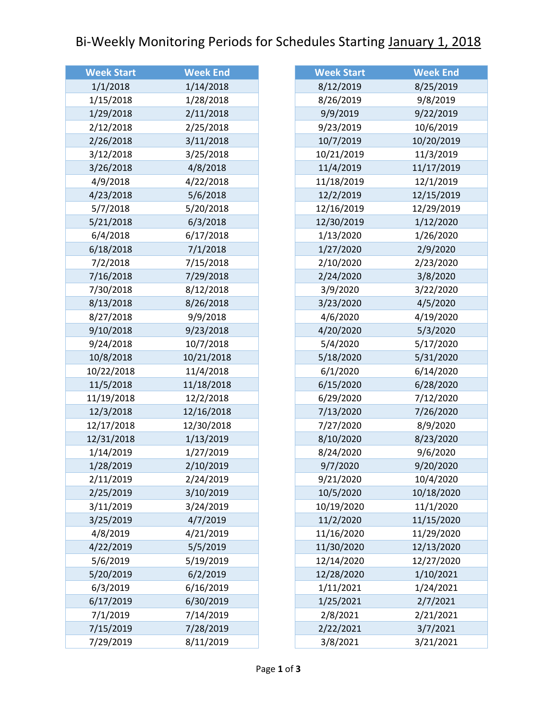## Bi-Weekly Monitoring Periods for Schedules Starting January 1, 2018

| <b>Week Start</b> | <b>Week End</b> |
|-------------------|-----------------|
| 1/1/2018          | 1/14/2018       |
| 1/15/2018         | 1/28/2018       |
| 1/29/2018         | 2/11/2018       |
| 2/12/2018         | 2/25/2018       |
| 2/26/2018         | 3/11/2018       |
| 3/12/2018         | 3/25/2018       |
| 3/26/2018         | 4/8/2018        |
| 4/9/2018          | 4/22/2018       |
| 4/23/2018         | 5/6/2018        |
| 5/7/2018          | 5/20/2018       |
| 5/21/2018         | 6/3/2018        |
| 6/4/2018          | 6/17/2018       |
| 6/18/2018         | 7/1/2018        |
| 7/2/2018          | 7/15/2018       |
| 7/16/2018         | 7/29/2018       |
| 7/30/2018         | 8/12/2018       |
| 8/13/2018         | 8/26/2018       |
| 8/27/2018         | 9/9/2018        |
| 9/10/2018         | 9/23/2018       |
| 9/24/2018         | 10/7/2018       |
| 10/8/2018         | 10/21/2018      |
| 10/22/2018        | 11/4/2018       |
| 11/5/2018         | 11/18/2018      |
| 11/19/2018        | 12/2/2018       |
| 12/3/2018         | 12/16/2018      |
| 12/17/2018        | 12/30/2018      |
| 12/31/2018        | 1/13/2019       |
| 1/14/2019         | 1/27/2019       |
| 1/28/2019         | 2/10/2019       |
| 2/11/2019         | 2/24/2019       |
| 2/25/2019         | 3/10/2019       |
| 3/11/2019         | 3/24/2019       |
| 3/25/2019         | 4/7/2019        |
| 4/8/2019          | 4/21/2019       |
| 4/22/2019         | 5/5/2019        |
| 5/6/2019          | 5/19/2019       |
| 5/20/2019         | 6/2/2019        |
| 6/3/2019          | 6/16/2019       |
| 6/17/2019         | 6/30/2019       |
| 7/1/2019          | 7/14/2019       |
| 7/15/2019         | 7/28/2019       |
| 7/29/2019         | 8/11/2019       |

| <b>Week Start</b>                                             | <b>Week End</b>                                                            |
|---------------------------------------------------------------|----------------------------------------------------------------------------|
| 8/12/2019                                                     | 8/25/2019                                                                  |
| 8/26/2019                                                     | 9/8/2019                                                                   |
| 9/9/2019                                                      | 9/22/2019                                                                  |
| 9/23/2019                                                     | 10/6/2019                                                                  |
| 10/7/2019                                                     | 10/20/2019                                                                 |
| 10/21/2019                                                    | 11/3/2019                                                                  |
| 11/4/2019                                                     | 11/17/2019                                                                 |
| 11/18/2019                                                    | 12/1/2019                                                                  |
| 12/2/2019                                                     | 12/15/2019                                                                 |
| 12/16/2019                                                    | 12/29/2019                                                                 |
| 12/30/2019                                                    | 1/12/2020                                                                  |
| 1/13/2020                                                     | 1/26/2020                                                                  |
| 1/27/2020                                                     | 2/9/2020                                                                   |
| 2/10/2020                                                     | 2/23/2020                                                                  |
| 2/24/2020                                                     | 3/8/2020                                                                   |
| 3/9/2020                                                      | 3/22/2020                                                                  |
| 3/23/2020                                                     | 4/5/2020                                                                   |
| 4/6/2020                                                      | 4/19/2020                                                                  |
| 4/20/2020                                                     | 5/3/2020                                                                   |
| 5/4/2020                                                      | 5/17/2020                                                                  |
| 5/18/2020                                                     | 5/31/2020                                                                  |
| 6/1/2020                                                      | 6/14/2020                                                                  |
| 6/15/2020                                                     | 6/28/2020                                                                  |
| 6/29/2020                                                     | 7/12/2020                                                                  |
| 7/13/2020                                                     | 7/26/2020                                                                  |
| 7/27/2020                                                     | 8/9/2020                                                                   |
| 8/10/2020                                                     | 8/23/2020                                                                  |
| 8/24/2020                                                     | 9/6/2020                                                                   |
| 9/7/2020                                                      | 9/20/2020                                                                  |
| 9/21/2020                                                     | 10/4/2020                                                                  |
| 10/5/2020                                                     | 10/18/2020                                                                 |
| 10/19/2020                                                    | 11/1/2020                                                                  |
| 11/2/2020                                                     | 11/15/2020                                                                 |
| 11/16/2020                                                    | 11/29/2020                                                                 |
|                                                               |                                                                            |
|                                                               |                                                                            |
| 12/28/2020                                                    | 1/10/2021                                                                  |
| 1/11/2021                                                     | 1/24/2021                                                                  |
| 1/25/2021                                                     |                                                                            |
|                                                               |                                                                            |
|                                                               |                                                                            |
|                                                               |                                                                            |
| 11/30/2020<br>12/14/2020<br>2/8/2021<br>2/22/2021<br>3/8/2021 | 12/13/2020<br>12/27/2020<br>2/7/2021<br>2/21/2021<br>3/7/2021<br>3/21/2021 |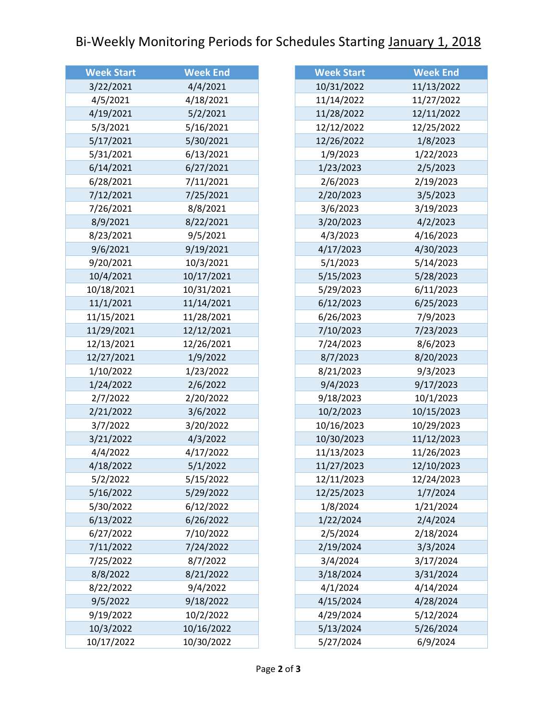## Bi-Weekly Monitoring Periods for Schedules Starting January 1, 2018

| <b>Week Start</b> | <b>Week End</b> |
|-------------------|-----------------|
| 3/22/2021         | 4/4/2021        |
| 4/5/2021          | 4/18/2021       |
| 4/19/2021         | 5/2/2021        |
| 5/3/2021          | 5/16/2021       |
| 5/17/2021         | 5/30/2021       |
| 5/31/2021         | 6/13/2021       |
| 6/14/2021         | 6/27/2021       |
| 6/28/2021         | 7/11/2021       |
| 7/12/2021         | 7/25/2021       |
| 7/26/2021         | 8/8/2021        |
| 8/9/2021          | 8/22/2021       |
| 8/23/2021         | 9/5/2021        |
| 9/6/2021          | 9/19/2021       |
| 9/20/2021         | 10/3/2021       |
| 10/4/2021         | 10/17/2021      |
| 10/18/2021        | 10/31/2021      |
| 11/1/2021         | 11/14/2021      |
| 11/15/2021        | 11/28/2021      |
| 11/29/2021        | 12/12/2021      |
| 12/13/2021        | 12/26/2021      |
| 12/27/2021        | 1/9/2022        |
| 1/10/2022         | 1/23/2022       |
| 1/24/2022         | 2/6/2022        |
| 2/7/2022          | 2/20/2022       |
| 2/21/2022         | 3/6/2022        |
| 3/7/2022          | 3/20/2022       |
| 3/21/2022         | 4/3/2022        |
| 4/4/2022          | 4/17/2022       |
| 4/18/2022         | 5/1/2022        |
| 5/2/2022          | 5/15/2022       |
| 5/16/2022         | 5/29/2022       |
| 5/30/2022         | 6/12/2022       |
| 6/13/2022         | 6/26/2022       |
| 6/27/2022         | 7/10/2022       |
| 7/11/2022         | 7/24/2022       |
| 7/25/2022         | 8/7/2022        |
| 8/8/2022          | 8/21/2022       |
| 8/22/2022         | 9/4/2022        |
| 9/5/2022          | 9/18/2022       |
| 9/19/2022         | 10/2/2022       |
| 10/3/2022         | 10/16/2022      |
| 10/17/2022        | 10/30/2022      |

| <b>Week Start</b> | <b>Week End</b> |
|-------------------|-----------------|
| 10/31/2022        | 11/13/2022      |
| 11/14/2022        | 11/27/2022      |
| 11/28/2022        | 12/11/2022      |
| 12/12/2022        | 12/25/2022      |
| 12/26/2022        | 1/8/2023        |
| 1/9/2023          | 1/22/2023       |
| 1/23/2023         | 2/5/2023        |
| 2/6/2023          | 2/19/2023       |
| 2/20/2023         | 3/5/2023        |
| 3/6/2023          | 3/19/2023       |
| 3/20/2023         | 4/2/2023        |
| 4/3/2023          | 4/16/2023       |
| 4/17/2023         | 4/30/2023       |
| 5/1/2023          | 5/14/2023       |
| 5/15/2023         | 5/28/2023       |
| 5/29/2023         | 6/11/2023       |
| 6/12/2023         | 6/25/2023       |
| 6/26/2023         | 7/9/2023        |
| 7/10/2023         | 7/23/2023       |
| 7/24/2023         | 8/6/2023        |
| 8/7/2023          | 8/20/2023       |
| 8/21/2023         | 9/3/2023        |
| 9/4/2023          | 9/17/2023       |
| 9/18/2023         | 10/1/2023       |
| 10/2/2023         | 10/15/2023      |
| 10/16/2023        | 10/29/2023      |
| 10/30/2023        | 11/12/2023      |
| 11/13/2023        | 11/26/2023      |
| 11/27/2023        | 12/10/2023      |
| 12/11/2023        | 12/24/2023      |
| 12/25/2023        | 1/7/2024        |
| 1/8/2024          | 1/21/2024       |
| 1/22/2024         | 2/4/2024        |
| 2/5/2024          | 2/18/2024       |
| 2/19/2024         | 3/3/2024        |
| 3/4/2024          | 3/17/2024       |
| 3/18/2024         | 3/31/2024       |
| 4/1/2024          | 4/14/2024       |
| 4/15/2024         | 4/28/2024       |
| 4/29/2024         | 5/12/2024       |
| 5/13/2024         | 5/26/2024       |
| 5/27/2024         | 6/9/2024        |